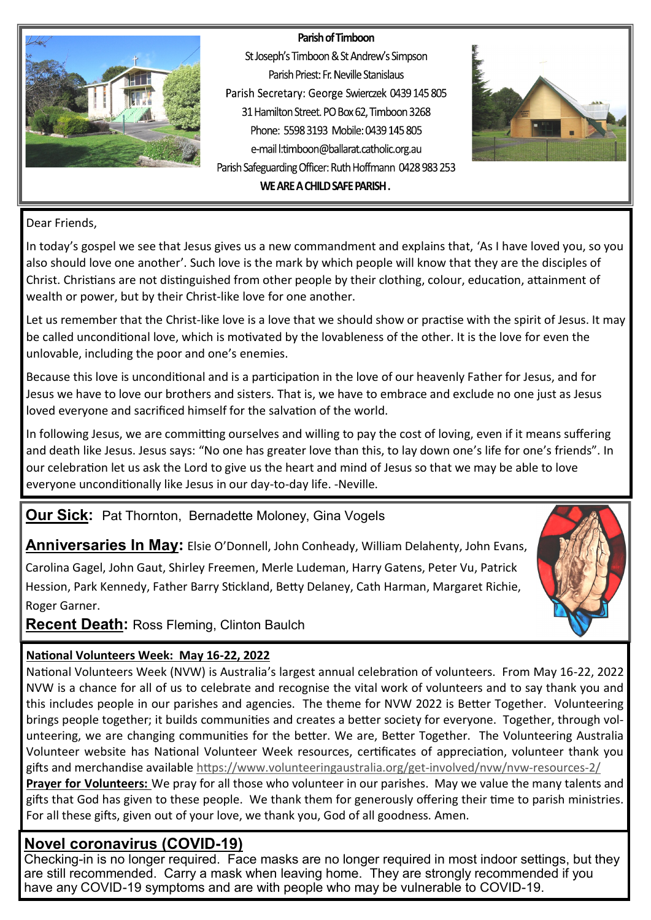#### Parish of Timboon



St Joseph's Timboon & St Andrew's Simpson Parish Priest: Fr. Neville Stanislaus Parish Secretary: George Swierczek 0439 145 805 31 Hamilton Street. PO Box 62, Timboon 3268 Phone: 5598 3193 Mobile: 0439 145 805 e-mail l:timboon@ballarat.catholic.org.au Parish Safeguarding Officer: Ruth Hoffmann 0428 983 253 WE ARE A CHILD SAFE PARISH.



#### Dear Friends,

In today's gospel we see that Jesus gives us a new commandment and explains that, 'As I have loved you, so you also should love one another'. Such love is the mark by which people will know that they are the disciples of Christ. Christians are not distinguished from other people by their clothing, colour, education, attainment of wealth or power, but by their Christ-like love for one another.

Let us remember that the Christ-like love is a love that we should show or practise with the spirit of Jesus. It may be called unconditional love, which is motivated by the lovableness of the other. It is the love for even the unlovable, including the poor and one's enemies.

Because this love is unconditional and is a participation in the love of our heavenly Father for Jesus, and for Jesus we have to love our brothers and sisters. That is, we have to embrace and exclude no one just as Jesus loved everyone and sacrificed himself for the salvation of the world.

In following Jesus, we are committing ourselves and willing to pay the cost of loving, even if it means suffering and death like Jesus. Jesus says: "No one has greater love than this, to lay down one's life for one's friends". In our celebration let us ask the Lord to give us the heart and mind of Jesus so that we may be able to love everyone unconditionally like Jesus in our day-to-day life. -Neville.

### **Our Sick:** Pat Thornton, Bernadette Moloney, Gina Vogels

**Anniversaries In May:** Elsie O'Donnell, John Conheady, William Delahenty, John Evans,

Carolina Gagel, John Gaut, Shirley Freemen, Merle Ludeman, Harry Gatens, Peter Vu, Patrick Hession, Park Kennedy, Father Barry Stickland, Betty Delaney, Cath Harman, Margaret Richie, Roger Garner.

**Recent Death:** Ross Fleming, Clinton Baulch

#### **National Volunteers Week: May 16-22, 2022**

National Volunteers Week (NVW) is Australia's largest annual celebration of volunteers. From May 16-22, 2022 NVW is a chance for all of us to celebrate and recognise the vital work of volunteers and to say thank you and this includes people in our parishes and agencies. The theme for NVW 2022 is Better Together. Volunteering brings people together; it builds communities and creates a better society for everyone. Together, through volunteering, we are changing communities for the better. We are, Better Together. The Volunteering Australia Volunteer website has National Volunteer Week resources, certificates of appreciation, volunteer thank you gifts and merchandise available [https://www.volunteeringaustralia.org/get](https://www.volunteeringaustralia.org/get-involved/nvw/nvw-resources-2/)-involved/nvw/nvw-resources-2/

**Prayer for Volunteers:** We pray for all those who volunteer in our parishes. May we value the many talents and gifts that God has given to these people. We thank them for generously offering their time to parish ministries. For all these gifts, given out of your love, we thank you, God of all goodness. Amen.

### **Novel coronavirus (COVID-19)**

Checking-in is no longer required. Face masks are no longer required in most indoor settings, but they are still recommended. Carry a mask when leaving home. They are strongly recommended if you have any COVID-19 symptoms and are with people who may be vulnerable to COVID-19.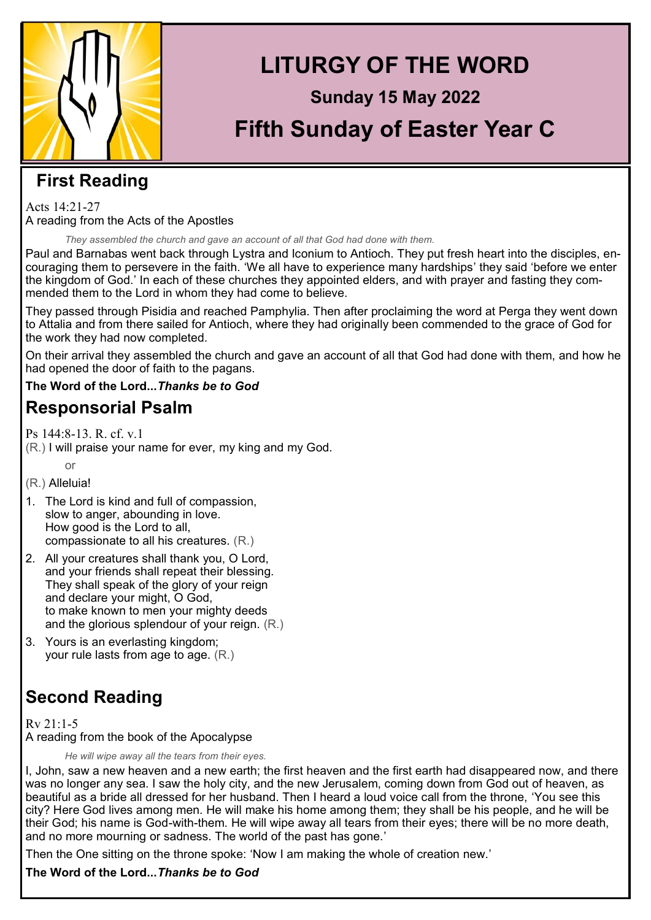

# **LITURGY OF THE WORD**

# **Sunday 15 May 2022 Fifth Sunday of Easter Year C**

### **First Reading**

Acts 14:21-27 A reading from the Acts of the Apostles

*They assembled the church and gave an account of all that God had done with them.*

Paul and Barnabas went back through Lystra and Iconium to Antioch. They put fresh heart into the disciples, encouraging them to persevere in the faith. 'We all have to experience many hardships' they said 'before we enter the kingdom of God.' In each of these churches they appointed elders, and with prayer and fasting they commended them to the Lord in whom they had come to believe.

They passed through Pisidia and reached Pamphylia. Then after proclaiming the word at Perga they went down to Attalia and from there sailed for Antioch, where they had originally been commended to the grace of God for the work they had now completed.

On their arrival they assembled the church and gave an account of all that God had done with them, and how he had opened the door of faith to the pagans.

**The Word of the Lord...***Thanks be to God*

### **Responsorial Psalm**

Ps 144:8-13. R. cf. v.1

(R.) I will praise your name for ever, my king and my God.

or

(R.) Alleluia!

- 1. The Lord is kind and full of compassion, slow to anger, abounding in love. How good is the Lord to all, compassionate to all his creatures. (R.)
- 2. All your creatures shall thank you, O Lord, and your friends shall repeat their blessing. They shall speak of the glory of your reign and declare your might, O God, to make known to men your mighty deeds and the glorious splendour of your reign. (R.)
- 3. Yours is an everlasting kingdom; your rule lasts from age to age. (R.)

## **Second Reading**

Rv 21:1-5 A reading from the book of the Apocalypse

*He will wipe away all the tears from their eyes.*

I, John, saw a new heaven and a new earth; the first heaven and the first earth had disappeared now, and there was no longer any sea. I saw the holy city, and the new Jerusalem, coming down from God out of heaven, as beautiful as a bride all dressed for her husband. Then I heard a loud voice call from the throne, 'You see this city? Here God lives among men. He will make his home among them; they shall be his people, and he will be their God; his name is God-with-them. He will wipe away all tears from their eyes; there will be no more death, and no more mourning or sadness. The world of the past has gone.'

Then the One sitting on the throne spoke: 'Now I am making the whole of creation new.'

**The Word of the Lord...***Thanks be to God*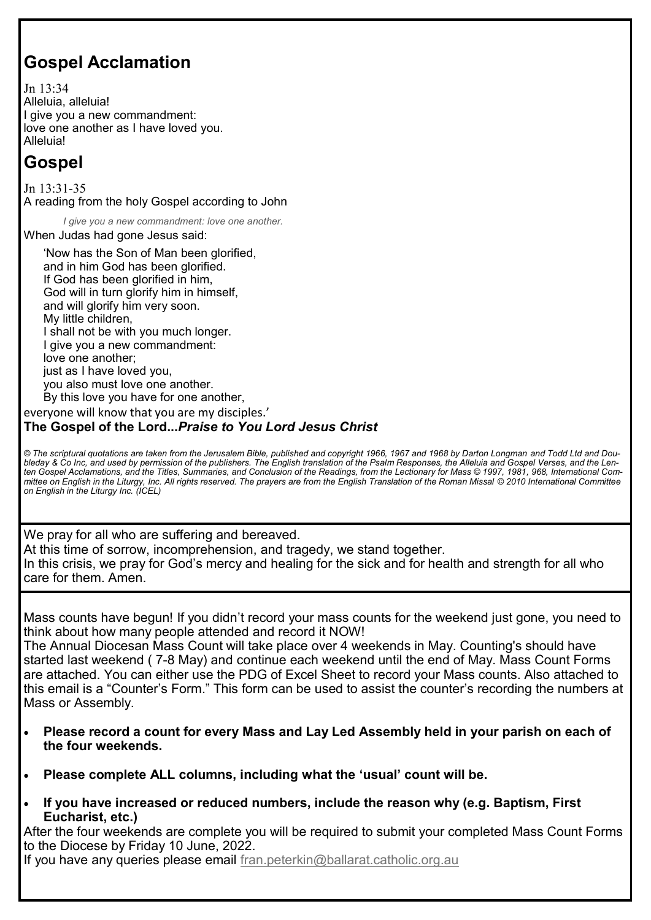### **Gospel Acclamation**

Jn 13:34 Alleluia, alleluia! I give you a new commandment: love one another as I have loved you. Alleluia!

### **Gospel**

Jn 13:31-35 A reading from the holy Gospel according to John

*I give you a new commandment: love one another.*

When Judas had gone Jesus said:

'Now has the Son of Man been glorified, and in him God has been glorified. If God has been glorified in him, God will in turn glorify him in himself, and will glorify him very soon. My little children, I shall not be with you much longer. I give you a new commandment: love one another; just as I have loved you, you also must love one another. By this love you have for one another, everyone will know that you are my disciples.'

#### **The Gospel of the Lord...***Praise to You Lord Jesus Christ*

*© The scriptural quotations are taken from the Jerusalem Bible, published and copyright 1966, 1967 and 1968 by Darton Longman and Todd Ltd and Doubleday & Co Inc, and used by permission of the publishers. The English translation of the Psalm Responses, the Alleluia and Gospel Verses, and the Lenten Gospel Acclamations, and the Titles, Summaries, and Conclusion of the Readings, from the Lectionary for Mass © 1997, 1981, 968, International Committee on English in the Liturgy, Inc. All rights reserved. The prayers are from the English Translation of the Roman Missal © 2010 International Committee on English in the Liturgy Inc. (ICEL)*

We pray for all who are suffering and bereaved. At this time of sorrow, incomprehension, and tragedy, we stand together. In this crisis, we pray for God's mercy and healing for the sick and for health and strength for all who care for them. Amen.

Mass counts have begun! If you didn't record your mass counts for the weekend just gone, you need to think about how many people attended and record it NOW!

The Annual Diocesan Mass Count will take place over 4 weekends in May. Counting's should have started last weekend ( 7-8 May) and continue each weekend until the end of May. Mass Count Forms are attached. You can either use the PDG of Excel Sheet to record your Mass counts. Also attached to this email is a "Counter's Form." This form can be used to assist the counter's recording the numbers at Mass or Assembly.

- **Please record a count for every Mass and Lay Led Assembly held in your parish on each of the four weekends.**
- **Please complete ALL columns, including what the 'usual' count will be.**
- **If you have increased or reduced numbers, include the reason why (e.g. Baptism, First Eucharist, etc.)**

After the four weekends are complete you will be required to submit your completed Mass Count Forms to the Diocese by Friday 10 June, 2022.

If you have any queries please email fran.peterkin@ballarat.catholic.org.au